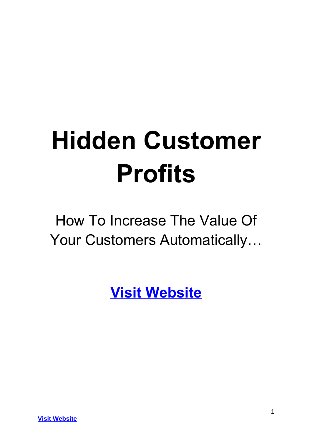# **Hidden Customer Profits**

How To Increase The Value Of Your Customers Automatically…

**[Visit Website](http://replug.link/f7ab3460/)**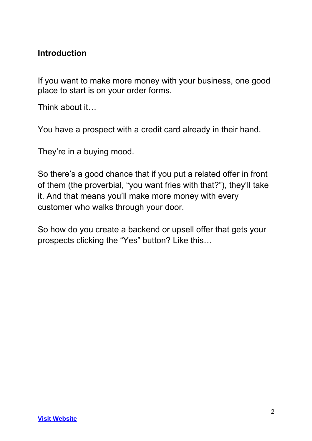#### **Introduction**

If you want to make more money with your business, one good place to start is on your order forms.

Think about it…

You have a prospect with a credit card already in their hand.

They're in a buying mood.

So there's a good chance that if you put a related offer in front of them (the proverbial, "you want fries with that?"), they'll take it. And that means you'll make more money with every customer who walks through your door.

So how do you create a backend or upsell offer that gets your prospects clicking the "Yes" button? Like this…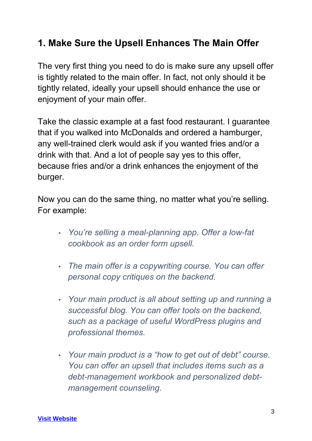#### **1. Make Sure the Upsell Enhances The Main Offer**

The very first thing you need to do is make sure any upsell offer is tightly related to the main offer. In fact, not only should it be tightly related, ideally your upsell should enhance the use or enjoyment of your main offer.

Take the classic example at a fast food restaurant. I guarantee that if you walked into McDonalds and ordered a hamburger, any well-trained clerk would ask if you wanted fries and/or a drink with that. And a lot of people say yes to this offer, because fries and/or a drink enhances the enjoyment of the burger.

Now you can do the same thing, no matter what you're selling. For example:

- *You're selling a meal-planning app. Offer a low-fat cookbook as an order form upsell.*
- *The main offer is a copywriting course. You can offer personal copy critiques on the backend.*
- *Your main product is all about setting up and running a successful blog. You can offer tools on the backend, such as a package of useful WordPress plugins and professional themes.*
- *Your main product is a "how to get out of debt" course. You can offer an upsell that includes items such as a debt-management workbook and personalized debtmanagement counseling.*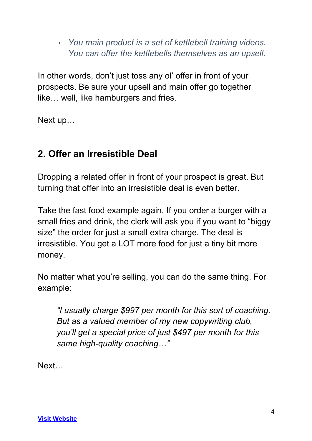• *You main product is a set of kettlebell training videos. You can offer the kettlebells themselves as an upsell.*

In other words, don't just toss any ol' offer in front of your prospects. Be sure your upsell and main offer go together like… well, like hamburgers and fries.

Next up…

## **2. Offer an Irresistible Deal**

Dropping a related offer in front of your prospect is great. But turning that offer into an irresistible deal is even better.

Take the fast food example again. If you order a burger with a small fries and drink, the clerk will ask you if you want to "biggy size" the order for just a small extra charge. The deal is irresistible. You get a LOT more food for just a tiny bit more money.

No matter what you're selling, you can do the same thing. For example:

*"I usually charge \$997 per month for this sort of coaching. But as a valued member of my new copywriting club, you'll get a special price of just \$497 per month for this same high-quality coaching…"*

Next…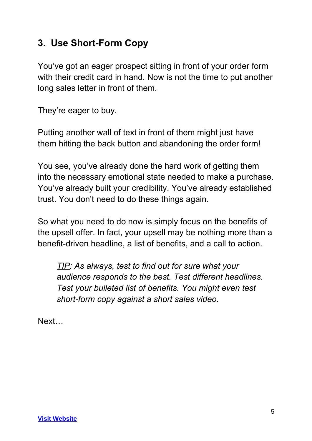#### **3. Use Short-Form Copy**

You've got an eager prospect sitting in front of your order form with their credit card in hand. Now is not the time to put another long sales letter in front of them.

They're eager to buy.

Putting another wall of text in front of them might just have them hitting the back button and abandoning the order form!

You see, you've already done the hard work of getting them into the necessary emotional state needed to make a purchase. You've already built your credibility. You've already established trust. You don't need to do these things again.

So what you need to do now is simply focus on the benefits of the upsell offer. In fact, your upsell may be nothing more than a benefit-driven headline, a list of benefits, and a call to action.

*TIP: As always, test to find out for sure what your audience responds to the best. Test different headlines. Test your bulleted list of benefits. You might even test short-form copy against a short sales video.*

Next…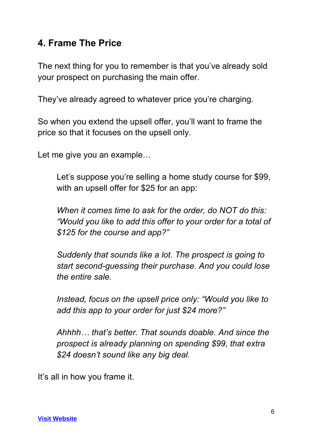#### **4. Frame The Price**

The next thing for you to remember is that you've already sold your prospect on purchasing the main offer.

They've already agreed to whatever price you're charging.

So when you extend the upsell offer, you'll want to frame the price so that it focuses on the upsell only.

Let me give you an example…

Let's suppose you're selling a home study course for \$99, with an upsell offer for \$25 for an app:

*When it comes time to ask for the order, do NOT do this: "Would you like to add this offer to your order for a total of \$125 for the course and app?"*

*Suddenly that sounds like a lot. The prospect is going to start second-guessing their purchase. And you could lose the entire sale.*

*Instead, focus on the upsell price only: "Would you like to add this app to your order for just \$24 more?"* 

*Ahhhh… that's better. That sounds doable. And since the prospect is already planning on spending \$99, that extra \$24 doesn't sound like any big deal.*

It's all in how you frame it.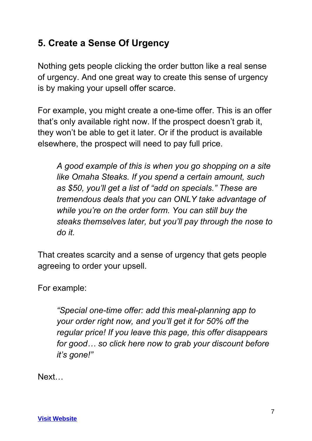#### **5. Create a Sense Of Urgency**

Nothing gets people clicking the order button like a real sense of urgency. And one great way to create this sense of urgency is by making your upsell offer scarce.

For example, you might create a one-time offer. This is an offer that's only available right now. If the prospect doesn't grab it, they won't be able to get it later. Or if the product is available elsewhere, the prospect will need to pay full price.

*A good example of this is when you go shopping on a site like Omaha Steaks. If you spend a certain amount, such as \$50, you'll get a list of "add on specials." These are tremendous deals that you can ONLY take advantage of while you're on the order form. You can still buy the steaks themselves later, but you'll pay through the nose to do it.* 

That creates scarcity and a sense of urgency that gets people agreeing to order your upsell.

For example:

*"Special one-time offer: add this meal-planning app to your order right now, and you'll get it for 50% off the regular price! If you leave this page, this offer disappears for good… so click here now to grab your discount before it's gone!"*

Next…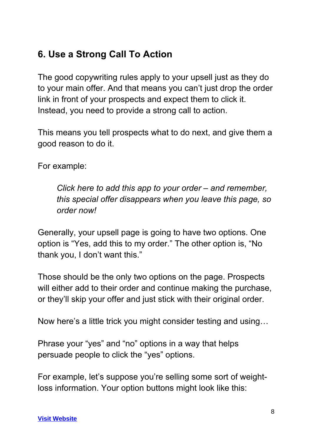### **6. Use a Strong Call To Action**

The good copywriting rules apply to your upsell just as they do to your main offer. And that means you can't just drop the order link in front of your prospects and expect them to click it. Instead, you need to provide a strong call to action.

This means you tell prospects what to do next, and give them a good reason to do it.

For example:

*Click here to add this app to your order – and remember, this special offer disappears when you leave this page, so order now!*

Generally, your upsell page is going to have two options. One option is "Yes, add this to my order." The other option is, "No thank you, I don't want this."

Those should be the only two options on the page. Prospects will either add to their order and continue making the purchase, or they'll skip your offer and just stick with their original order.

Now here's a little trick you might consider testing and using…

Phrase your "yes" and "no" options in a way that helps persuade people to click the "yes" options.

For example, let's suppose you're selling some sort of weightloss information. Your option buttons might look like this: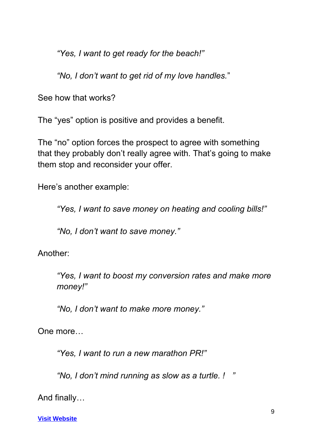*"Yes, I want to get ready for the beach!"*

*"No, I don't want to get rid of my love handles.*"

See how that works?

The "yes" option is positive and provides a benefit.

The "no" option forces the prospect to agree with something that they probably don't really agree with. That's going to make them stop and reconsider your offer.

Here's another example:

*"Yes, I want to save money on heating and cooling bills!"*

*"No, I don't want to save money."*

Another:

*"Yes, I want to boost my conversion rates and make more money!"*

*"No, I don't want to make more money."*

One more…

*"Yes, I want to run a new marathon PR!"* 

*"No, I don't mind running as slow as a turtle. ! "*

And finally…

**[Visit Website](http://replug.link/f7ab3460/)**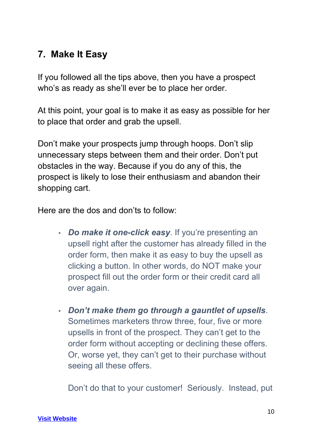#### **7. Make It Easy**

If you followed all the tips above, then you have a prospect who's as ready as she'll ever be to place her order.

At this point, your goal is to make it as easy as possible for her to place that order and grab the upsell.

Don't make your prospects jump through hoops. Don't slip unnecessary steps between them and their order. Don't put obstacles in the way. Because if you do any of this, the prospect is likely to lose their enthusiasm and abandon their shopping cart.

Here are the dos and don'ts to follow:

- *Do make it one-click easy*. If you're presenting an upsell right after the customer has already filled in the order form, then make it as easy to buy the upsell as clicking a button. In other words, do NOT make your prospect fill out the order form or their credit card all over again.
- *Don't make them go through a gauntlet of upsells*. Sometimes marketers throw three, four, five or more upsells in front of the prospect. They can't get to the order form without accepting or declining these offers. Or, worse yet, they can't get to their purchase without seeing all these offers.

Don't do that to your customer! Seriously. Instead, put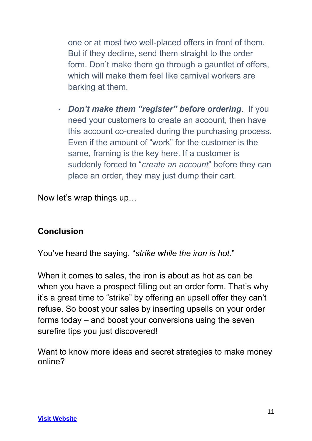one or at most two well-placed offers in front of them. But if they decline, send them straight to the order form. Don't make them go through a gauntlet of offers, which will make them feel like carnival workers are barking at them.

• *Don't make them "register" before ordering*. If you need your customers to create an account, then have this account co-created during the purchasing process. Even if the amount of "work" for the customer is the same, framing is the key here. If a customer is suddenly forced to "*create an account*" before they can place an order, they may just dump their cart.

Now let's wrap things up…

#### **Conclusion**

You've heard the saying, "*strike while the iron is hot*."

When it comes to sales, the iron is about as hot as can be when you have a prospect filling out an order form. That's why it's a great time to "strike" by offering an upsell offer they can't refuse. So boost your sales by inserting upsells on your order forms today – and boost your conversions using the seven surefire tips you just discovered!

Want to know more ideas and secret strategies to make money online?